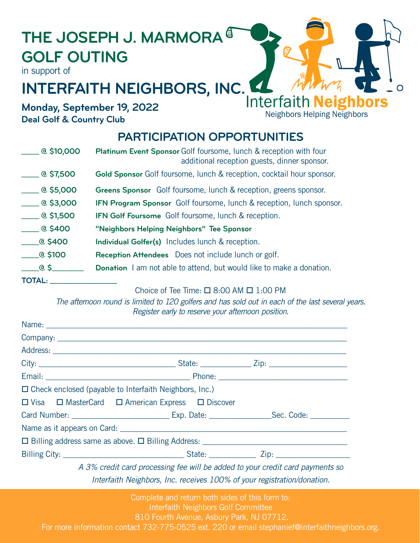# **THE JOSEPH J. MARMORA GOLF OUTING**

in support of

## **INTERFAITH NEIGHBORS, INC.** Interfaith **Neighbors**

**Monday, September 19, 2022 Deal Golf & Country Club**

### **PARTICIPATION OPPORTUNITIES**

Neighbors Helping Neighbors

| $\_\_$ @ \$10,000              | <b>Platinum Event Sponsor Golf foursome, lunch &amp; reception with four</b><br>additional reception guests, dinner sponsor. |
|--------------------------------|------------------------------------------------------------------------------------------------------------------------------|
| $\_\_$ @ \$7,500               | Gold Sponsor Golf foursome, lunch & reception, cocktail hour sponsor.                                                        |
| $\frac{1}{2}$ @ \$5,000        | Greens Sponsor Golf foursome, lunch & reception, greens sponsor.                                                             |
| $\frac{1}{2}$ @ \$3,000        | <b>IFN Program Sponsor</b> Golf foursome, lunch & reception, lunch sponsor.                                                  |
| $\_\_$ @ \$1,500               | <b>IFN Golf Foursome</b> Golf foursome, lunch & reception.                                                                   |
| $Q$ \$400                      | "Neighbors Helping Neighbors" Tee Sponsor                                                                                    |
| $\rule{1em}{0.65400}$          | <b>Individual Golfer(s)</b> Includes lunch & reception.                                                                      |
| $\rule{1em}{0.15mm}$ $@$ \$100 | <b>Reception Attendees</b> Does not include lunch or golf.                                                                   |
| _____@_\$__                    | <b>Donation</b> I am not able to attend, but would like to make a donation.                                                  |
| TOTAL:                         |                                                                                                                              |

#### Choice of Tee Time:  $\Box$  8:00 AM  $\Box$  1:00 PM

*The afternoon round is limited to 120 golfers and has sold out in each of the last several years. Register early to reserve your afternoon position.* 

| $\Box$ Check enclosed (payable to Interfaith Neighbors, Inc.)                 |  |  |  |  |
|-------------------------------------------------------------------------------|--|--|--|--|
| □ Visa □ MasterCard □ American Express □ Discover                             |  |  |  |  |
|                                                                               |  |  |  |  |
|                                                                               |  |  |  |  |
|                                                                               |  |  |  |  |
|                                                                               |  |  |  |  |
| A 3% credit card processing fee will be added to your credit card payments so |  |  |  |  |

*Interfaith Neighbors, Inc. receives 100% of your registration/donation.*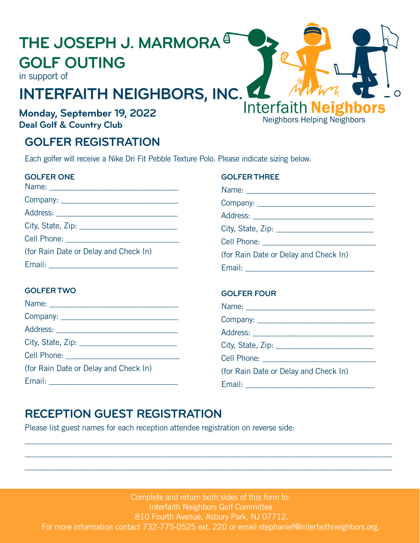## **THE JOSEPH J. MARMORA GOLF OUTING**

in support of

## **INTERFAITH NEIGHBORS, INC.** Interfaith **Neighbors**

### **Monday, September 19, 2022 Deal Golf & Country Club**

### **GOLFER REGISTRATION**

Each golfer will receive a Nike Dri Fit Pebble Texture Polo. Please indicate sizing below.

#### **GOLFER ONE**

| (for Rain Date or Delay and Check In) |  |  |
|---------------------------------------|--|--|
|                                       |  |  |

#### **GOLFER TWO**

|                                       | <b>UULFER FUUR</b>                    |
|---------------------------------------|---------------------------------------|
|                                       |                                       |
|                                       |                                       |
|                                       |                                       |
|                                       |                                       |
|                                       |                                       |
| (for Rain Date or Delay and Check In) | (for Rain Date or Delay and Check In) |
|                                       |                                       |
|                                       |                                       |

**GOLFER THREE**

Cell Phone: \_\_\_\_\_\_\_\_\_\_\_\_\_\_\_\_\_\_\_\_\_\_\_\_\_\_\_\_\_

Email: \_\_\_\_\_\_\_\_\_\_\_\_\_\_\_\_\_\_\_\_\_\_\_\_\_\_\_\_\_\_\_\_\_

**GOLFER FOUR**

(for Rain Date or Delay and Check In)

Name: \_\_\_\_\_\_\_\_\_\_\_\_\_\_\_\_\_\_\_\_\_\_\_\_\_\_\_\_\_\_\_\_\_ Company: \_\_\_\_\_\_\_\_\_\_\_\_\_\_\_\_\_\_\_\_\_\_\_\_\_\_\_\_\_\_ Address: City, State, Zip: \_\_\_\_\_\_\_\_\_\_\_\_\_\_\_\_\_\_\_\_\_\_\_\_\_

Neighbors Helping Neighbors

 $\bigcirc$ 

## **RECEPTION GUEST REGISTRATION**

Please list guest names for each reception attendee registration on reverse side:

Complete and return both sides of this form to: Interfaith Neighbors Golf Committee 810 Fourth Avenue, Asbury Park, NJ 07712. For more information contact 732-775-0525 ext. 220 or email stephanief@interfaithneighbors.org.

\_\_\_\_\_\_\_\_\_\_\_\_\_\_\_\_\_\_\_\_\_\_\_\_\_\_\_\_\_\_\_\_\_\_\_\_\_\_\_\_\_\_\_\_\_\_\_\_\_\_\_\_\_\_\_\_\_\_\_\_\_\_\_\_\_\_\_\_\_\_\_\_\_\_\_\_\_\_\_\_\_\_\_\_\_\_\_\_\_\_\_\_\_\_ \_\_\_\_\_\_\_\_\_\_\_\_\_\_\_\_\_\_\_\_\_\_\_\_\_\_\_\_\_\_\_\_\_\_\_\_\_\_\_\_\_\_\_\_\_\_\_\_\_\_\_\_\_\_\_\_\_\_\_\_\_\_\_\_\_\_\_\_\_\_\_\_\_\_\_\_\_\_\_\_\_\_\_\_\_\_\_\_\_\_\_\_\_\_ \_\_\_\_\_\_\_\_\_\_\_\_\_\_\_\_\_\_\_\_\_\_\_\_\_\_\_\_\_\_\_\_\_\_\_\_\_\_\_\_\_\_\_\_\_\_\_\_\_\_\_\_\_\_\_\_\_\_\_\_\_\_\_\_\_\_\_\_\_\_\_\_\_\_\_\_\_\_\_\_\_\_\_\_\_\_\_\_\_\_\_\_\_\_